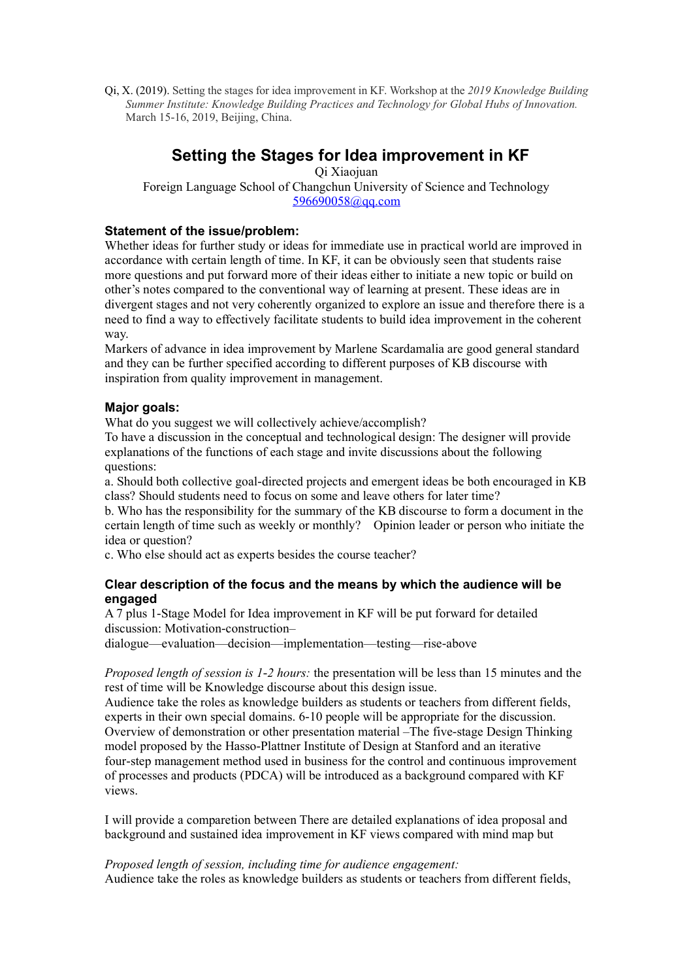Qi, X. (2019). Setting the stages for idea improvement in KF. Workshop at the *2019 Knowledge Building Summer Institute: Knowledge Building Practices and Technology for Global Hubs of Innovation.* March 15-16, 2019, Beijing, China.

# **Setting the Stages for Idea improvement in KF**

Qi Xiaojuan Foreign Language School of Changchun University of Science and Technology [596690058@qq.com](mailto:596690058@qq.com)

## **Statement of the issue/problem:**

Whether ideas for further study or ideas for immediate use in practical world are improved in accordance with certain length of time. In KF, it can be obviously seen that students raise more questions and put forward more of their ideas either to initiate a new topic or build on other's notes compared to the conventional way of learning at present. These ideas are in divergent stages and not very coherently organized to explore an issue and therefore there is a need to find a way to effectively facilitate students to build idea improvement in the coherent way.

Markers of advance in idea improvement by Marlene Scardamalia are good general standard and they can be further specified according to different purposes of KB discourse with inspiration from quality improvement in management.

## **Major goals:**

What do you suggest we will collectively achieve/accomplish?

To have a discussion in the conceptual and technological design: The designer will provide explanations of the functions of each stage and invite discussions about the following questions:

a. Should both collective goal-directed projects and emergent ideas be both encouraged in KB class? Should students need to focus on some and leave others for later time?

b. Who has the responsibility for the summary of the KB discourse to form a document in the certain length of time such as weekly or monthly? Opinion leader or person who initiate the idea or question?

c. Who else should act as experts besides the course teacher?

## **Clear description of the focus and the means by which the audience will be engaged**

A 7 plus 1-Stage Model for Idea improvement in KF will be put forward for detailed discussion: Motivation-construction–

dialogue—evaluation—decision—implementation—testing—rise-above

*Proposed length of session is 1-2 hours:* the presentation will be less than 15 minutes and the rest of time will be Knowledge discourse about this design issue.

Audience take the roles as knowledge builders as students or teachers from different fields, experts in their own special domains. 6-10 people will be appropriate for the discussion. Overview of demonstration or other presentation material –The five-stage Design Thinking model proposed by the Hasso-Plattner Institute of Design at Stanford and an iterative four-step management method used in business for the control and continuous improvement of processes and products (PDCA) will be introduced as a background compared with KF views.

I will provide a comparetion between There are detailed explanations of idea proposal and background and sustained idea improvement in KF views compared with mind map but

*Proposed length of session, including time for audience engagement:* Audience take the roles as knowledge builders as students or teachers from different fields,